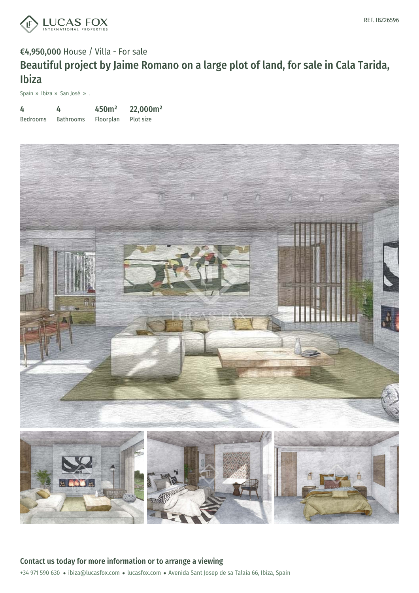

## €4,950,000 House / Villa - For sale Beautiful project by Jaime Romano on a large plot of land, for sale in Cala Tarida, Ibiza

Spain » Ibiza » San José » .

| 4               | 4                | 450 <sup>m²</sup> | 22,000m <sup>2</sup> |
|-----------------|------------------|-------------------|----------------------|
| <b>Bedrooms</b> | <b>Bathrooms</b> | Floorplan         | Plot size            |

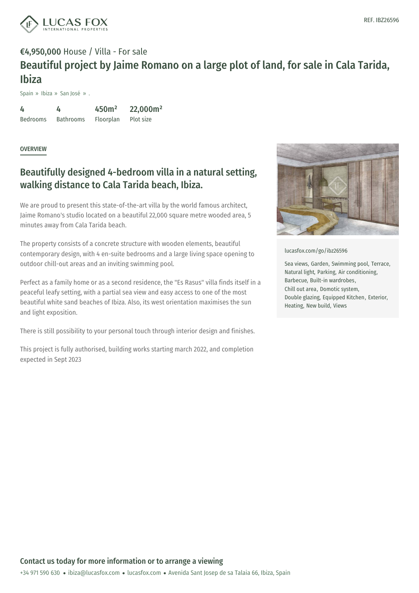

## €4,950,000 House / Villa - For sale Beautiful project by Jaime Romano on a large plot of land, for sale in Cala Tarida, Ibiza

Spain » Ibiza » San José » .

4 Bedrooms 4 Bathrooms Floorplan 450m² 22,000m² Plot size

**OVERVIEW** 

## Beautifully designed 4-bedroom villa in a natural setting, walking distance to Cala Tarida beach, Ibiza.

We are proud to present this state-of-the-art villa by the world famous architect, Jaime Romano's studio located on a beautiful 22,000 square metre wooded area, 5 minutes away from Cala Tarida beach.

The property consists of a concrete structure with wooden elements, beautiful contemporary design, with 4 en-suite bedrooms and a large living space opening to outdoor chill-out areas and an inviting swimming pool.

Perfect as a family home or as a second residence, the "Es Rasus" villa finds itself in a peaceful leafy setting, with a partial sea view and easy access to one of the most beautiful white sand beaches of Ibiza. Also, its west orientation maximises the sun and light exposition.

There is still possibility to your personal touch through interior design and finishes.

This project is fully authorised, building works starting march 2022, and completion expected in Sept 2023



[lucasfox.com/go/ibz26596](https://www.lucasfox.com/go/ibz26596)

Sea views, Garden, Swimming pool, Terrace, Natural light, Parking, Air conditioning, Barbecue, Built-in wardrobes, Chill out area, Domotic system, Double glazing, Equipped Kitchen, Exterior, Heating, New build, Views